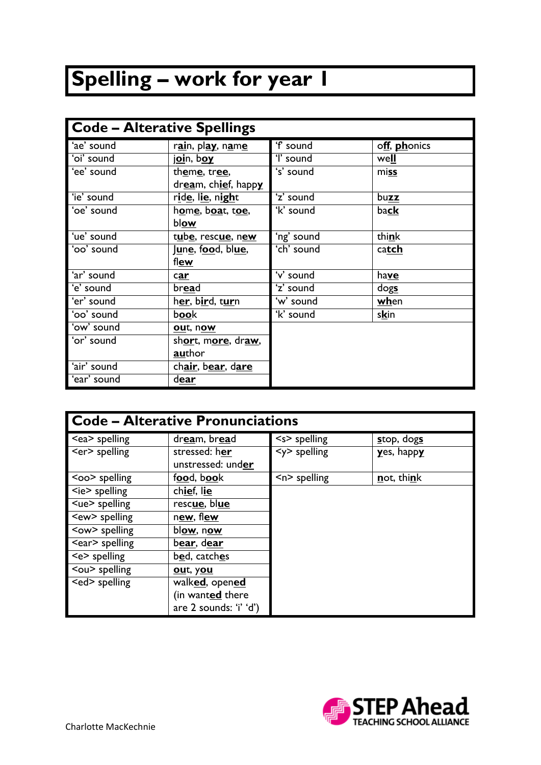## **Spelling – work for year 1**

| <b>Code - Alterative Spellings</b> |                                                     |                      |               |
|------------------------------------|-----------------------------------------------------|----------------------|---------------|
| 'ae' sound                         | r <u>ai</u> n, pl <u>ay</u> , n <u>a</u> m <u>e</u> | 'f sound             | off, phonics  |
| 'oi' sound                         | join, boy                                           | 'l' sound            | well          |
| 'ee' sound                         | theme, tree,                                        | 's' sound            | miss          |
|                                    | dream, chief, happy                                 |                      |               |
| 'ie' sound                         | r <u>ide,</u> l <u>ie,</u> night                    | 'z' sound            | buzz          |
| 'oe' sound                         | home, boat, toe,                                    | 'k' sound            | ba <b>ck</b>  |
|                                    | blow                                                |                      |               |
| 'ue' sound                         | tube, rescue, new                                   | 'ng' sound           | think         |
| 'oo' sound                         | <u>June</u> , f <u>oo</u> d, bl <u>ue,</u>          | 'ch' sound           | catch         |
|                                    | flew                                                |                      |               |
| 'ar' sound                         | car                                                 | 'v' sound            | have          |
| 'e' sound                          | bread                                               | 'z' sound            | $\frac{d}{g}$ |
| 'er' sound                         | her, bird, turn                                     | 'w' sound            | when          |
| 'oo' sound                         | book                                                | $\overline{k}$ sound | skin          |
| 'ow' sound                         | out, now                                            |                      |               |
| 'or' sound                         | short, more, draw,                                  |                      |               |
|                                    | author                                              |                      |               |
| 'air' sound                        | chair, bear, dare                                   |                      |               |
| 'ear' sound                        | dear                                                |                      |               |

| <b>Code - Alterative Pronunciations</b> |                                    |                 |                  |
|-----------------------------------------|------------------------------------|-----------------|------------------|
| <ea> spelling</ea>                      | dream, bread                       | $<$ s> spelling | stop, dogs       |
| <er> spelling</er>                      | stressed: her<br>unstressed: under | $<$ y> spelling | $yes$ , happ $y$ |
| <oo> spelling</oo>                      | food, book                         | $n$ spelling    | not, think       |
| $\leq$ ie $\geq$ spelling               | chief, lie                         |                 |                  |
| <ue> spelling</ue>                      | rescue, blue                       |                 |                  |
| <ew> spelling</ew>                      | new, flew                          |                 |                  |
| <ow> spelling</ow>                      | blow, now                          |                 |                  |
| <ear> spelling</ear>                    | bear, dear                         |                 |                  |
| $\leq$ e $>$ spelling                   | bed, catches                       |                 |                  |
| <ou> spelling</ou>                      | out, you                           |                 |                  |
| <ed> spelling</ed>                      | walked, opened                     |                 |                  |
|                                         | (in wanted there                   |                 |                  |
|                                         | are 2 sounds: 'i' 'd')             |                 |                  |

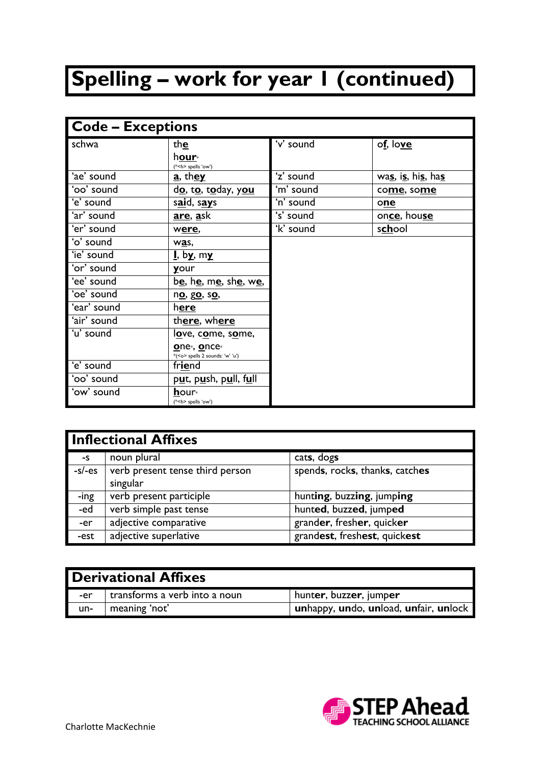## **Spelling – work for year 1 (continued)**

| <b>Code - Exceptions</b> |                                                                  |           |                   |
|--------------------------|------------------------------------------------------------------|-----------|-------------------|
| schwa                    | th $\underline{\mathbf{e}}$                                      | 'v' sound | of, love          |
|                          | hour <sub>*</sub>                                                |           |                   |
|                          | (* <h> spells 'ow')</h>                                          |           |                   |
| 'ae' sound               | a, they                                                          | 'z' sound | was, is, his, has |
| 'oo' sound               | do, to, today, you                                               | 'm' sound | come, some        |
| 'e' sound                | said, says                                                       | 'n' sound | one               |
| 'ar' sound               | <u>are, a</u> sk                                                 | 's' sound | once, house       |
| 'er' sound               | were,                                                            | 'k' sound | school            |
| 'o' sound                | was,                                                             |           |                   |
| 'ie' sound               | <u>I</u> , b <u>y</u> , m <u>y</u>                               |           |                   |
| 'or' sound               | your                                                             |           |                   |
| 'ee' sound               | b <u>e,</u> h <u>e</u> , m <u>e</u> , sh <u>e</u> , w <u>e</u> , |           |                   |
| 'oe' sound               | no, go, so,                                                      |           |                   |
| 'ear' sound              | here                                                             |           |                   |
| 'air' sound              | there, where                                                     |           |                   |
| 'u' sound                | love, come, some,                                                |           |                   |
|                          | one <sub>*</sub> , once*                                         |           |                   |
|                          | *( <o> spells 2 sounds: 'w' 'u')</o>                             |           |                   |
| 'e' sound                | friend                                                           |           |                   |
| 'oo' sound               | put, push, pull, full                                            |           |                   |
| 'ow' sound               | hour <sub>*</sub>                                                |           |                   |
|                          | (* <h> spells 'ow')</h>                                          |           |                   |

| <b>Inflectional Affixes</b> |                                 |                                |
|-----------------------------|---------------------------------|--------------------------------|
| -S                          | noun plural                     | cats, dogs                     |
| $-s$ /-es                   | verb present tense third person | spends, rocks, thanks, catches |
|                             | singular                        |                                |
| -ing                        | verb present participle         | hunting, buzzing, jumping      |
| -ed                         | verb simple past tense          | hunted, buzzed, jumped         |
| -er                         | adjective comparative           | grander, fresher, quicker      |
| -est                        | adjective superlative           | grandest, freshest, quickest   |

| <b>1 Derivational Affixes</b> |                               |                                       |
|-------------------------------|-------------------------------|---------------------------------------|
| -er l                         | transforms a verb into a noun | hunter, buzzer, jumper                |
| un-                           | meaning 'not'                 | unhappy, undo, unload, unfair, unlock |